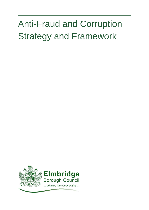# Anti-Fraud and Corruption Strategy and Framework

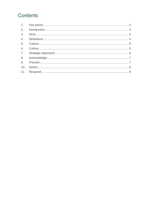# Contents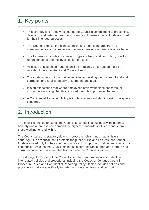# <span id="page-2-0"></span>1. Key points

- This strategy and framework set out the Council's commitment to preventing, detecting, and deterring fraud and corruption to ensure public funds are used for their intended purposes.
- The Council expects the highest ethical and legal standards from its members, officers, contractors and agents carrying out business on its behalf.
- The framework includes quidance on types of fraud and corruption, how to report concerns and the investigation process.
- All cases of suspected fraud, financial irregularity or corruption must be reported to Internal Audit and Counter Fraud.
- The strategy sets out the main objectives for tackling the risk from fraud and corruption and applies equally to Members and staff.
- It is an expectation that where employees have work place concerns, or suspect wrongdoing, that this is raised through appropriate channels.
- A Confidential Reporting Policy is in place to support staff in raising workplace concerns.

#### <span id="page-2-1"></span>2. Introduction

The public is entitled to expect the Council to conduct its business with integrity, honesty and openness and demand the highest standards of ethical conduct from those working for and with it.

The Council takes its statutory duty to protect the public funds it administers seriously. It is essential that it protects the public purse and ensures that Council funds are used only for their intended purpose: to support and deliver services to our community. As such the Council maintains a zero-tolerance approach to fraud and corruption whether it is attempted from outside the Council or within.

This strategy forms part of the Council's counter fraud framework, a collection of interrelated policies and procedures including the Codes of Conduct, Council Procedure Rules and Confidential Reporting Policy. It also includes policies and procedures that are specifically targeted at countering fraud and corruption.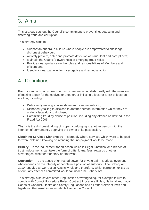#### <span id="page-3-0"></span>3. Aims

This strategy sets out the Council's commitment to preventing, detecting and deterring fraud and corruption.

This strategy aims to:

- Support an anti-fraud culture where people are empowered to challenge dishonest behaviour;
- Actively prevent, deter and promote detection of fraudulent and corrupt acts;
- Maintain the Council's awareness of emerging fraud risks;
- Provide clear guidance on the roles and responsibilities of Members and officers; and
- Identify a clear pathway for investigative and remedial action.

#### <span id="page-3-1"></span>4. Definitions

**Fraud** - can be broadly described as, someone acting dishonestly with the intention of making a gain for themselves or another, or inflicting a loss (or a risk of loss) on another; including:

- Dishonestly making a false statement or representation;
- Dishonestly failing to disclose to another person, information which they are under a legal duty to disclose;
- Committing fraud by abuse of position, including any offence as defined in the Fraud Act 2006.

**Theft** - is the dishonest taking of property belonging to another person with the intention of permanently depriving the owner of its possession.

**Obtaining Services Dishonestly** – is broadly where services which were to be paid for were obtained knowing or intending that no payment would be made.

**Bribery** – is the inducement for an action which is illegal, unethical or a breach of trust. Inducements can take the form of gifts, loans, fees, rewards or other advantages, whether monetary or otherwise.

**Corruption –** is the abuse of entrusted power for private gain. It affects everyone who depends on the integrity of people in a position of authority. The Bribery Act 2010 repealed all Corruption Acts in whole and therefore, whilst corruption exists as a term, any offences committed would fall under the Bribery Act.

This strategy also covers other irregularities or wrongdoing, for example failure to comply with Council Procedure Rules, Contract Procedure Rules, National and Local Codes of Conduct, Health and Safety Regulations and all other relevant laws and legislation that result in an avoidable loss to the Council.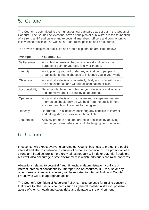# <span id="page-4-0"></span>5. Culture

The Council is committed to the highest ethical standards as set out in the Codes of Conduct. The Council believes the 'seven principles of public life' are the foundation of a strong anti-fraud culture and expects all members, officers and contractors to follow these principles, as well as all legal rules, policies and procedures.

| <b>Principle</b>    | You should                                                                                                                                                              |
|---------------------|-------------------------------------------------------------------------------------------------------------------------------------------------------------------------|
| <b>Selflessness</b> | Act solely in terms of the public interest and not for the<br>purpose of gain for yourself, family or friends.                                                          |
| Integrity           | Avoid placing yourself under any obligation to people or<br>organisations that might seek to influence you in your work.                                                |
| Objectivity         | Act and take decisions impartially, fairly and on merit, using<br>the best evidence and without discrimination or bias.                                                 |
| Accountability      | Be accountable to the public for your decisions and actions<br>and submit yourself to scrutiny as appropriate.                                                          |
| <b>Openness</b>     | Act and take decisions in an open and transparent manner.<br>Information should only be withheld from the public if there<br>are clear and lawful reasons for doing so. |
| Honesty             | Be truthful. This includes declaring any conflicts of interest<br>and taking steps to resolve such conflicts.                                                           |
| Leadership          | Actively promote and support these principles by applying<br>them to your own behaviour and challenging poor behaviour.                                                 |

The seven principles of public life and a brief explanation are listed below:

## <span id="page-4-1"></span>6. Culture

In essence, we expect everyone carrying out Council business to protect the public interest and also to challenge instances of dishonest behaviour. The promotion of a strong anti-fraud culture is therefore vital, as not only will it deter potential fraudsters but it will also encourage a safe environment in which individuals can raise concerns.

Allegations relating to potential fraud, financial maladministration, conflicts of interest, breach of confidentiality, improper use of resources, ICT misuse or any other forms of financial irregularity will be reported to Internal Audit and Counter Fraud, who will take appropriate action.

The Council's Confidential Reporting Policy can also be used for raising concerns that relate to other serious concerns such as general maladministration, possible abuse of clients, health and safety risks and damage to the environment.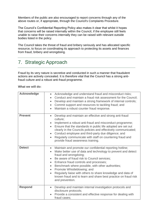Members of the public are also encouraged to report concerns through any of the above routes or, if appropriate, through the Council's Complaints Procedure.

The Council's Confidential Reporting Policy also makes it clear that whilst it hopes that concerns will be raised internally within the Council, if the employee still feels unable to raise their concerns internally they can be raised with relevant outside bodies listed in the policy.

The Council takes the threat of fraud and bribery seriously and has allocated specific resource, to focus on coordinating its approach to protecting its assets and finances from fraud, bribery and wrongdoing.

## <span id="page-5-0"></span>7. Strategic Approach

Fraud by its very nature is secretive and conducted in such a manner that fraudulent actions are actively concealed. It is therefore vital that the Council has a strong antifraud culture and a robust anti-fraud programme.

**What we will do:**

| <b>Acknowledge</b> | Acknowledge and understand fraud and misconduct risks;<br>$\bullet$<br>Conduct and maintain a fraud risk assessment for the Council;<br>$\bullet$<br>Develop and maintain a strong framework of internal controls;<br>$\bullet$<br>Commit support and resources to tackling fraud; and<br>$\bullet$<br>Maintain a robust counter fraud response.<br>$\bullet$                                                                                                                                                                                                                |
|--------------------|------------------------------------------------------------------------------------------------------------------------------------------------------------------------------------------------------------------------------------------------------------------------------------------------------------------------------------------------------------------------------------------------------------------------------------------------------------------------------------------------------------------------------------------------------------------------------|
| <b>Prevent</b>     | Develop and maintain an effective and strong anti-fraud<br>$\bullet$<br>culture:<br>Implement a robust anti-fraud and misconduct programme;<br>$\bullet$<br>Ensure that the standards in public life adopted are set out<br>$\bullet$<br>clearly in the Councils policies and effectively communicated;<br>Conduct employee and third-party due diligence; and<br>$\bullet$<br>Regularly communicate with staff on countering fraud and<br>$\bullet$<br>provide fraud awareness training.                                                                                    |
| <b>Detect</b>      | Maintain and promote our confidential reporting hotline;<br>$\bullet$<br>Make better use of data and technology to prevent and detect<br>$\bullet$<br>fraud and wrongdoing;<br>Be aware of fraud risk to Council services;<br>$\bullet$<br>Enhance fraud controls and processes;<br>$\bullet$<br>Benchmark where possible, with other authorities;<br>$\bullet$<br>Promote Whistleblowing; and<br>$\bullet$<br>Regularly liaise with others to share knowledge and data of<br>$\bullet$<br>known fraud and to learn and share best practice on fraud risk<br>and prevention. |
| <b>Respond</b>     | Develop and maintain internal investigation protocols and<br>$\bullet$<br>disclosure protocols;<br>Provide a consistent and effective response for dealing with<br>fraud cases;                                                                                                                                                                                                                                                                                                                                                                                              |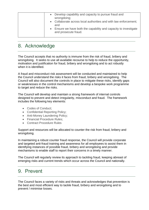| Develop capability and capacity to pursue fraud and<br>$\bullet$<br>wrongdoing;<br>Collaborate across local authorities and with law enforcement;<br>and |
|----------------------------------------------------------------------------------------------------------------------------------------------------------|
| Ensure we have both the capability and capacity to investigate<br>$\bullet$<br>and prosecute fraud.                                                      |

## <span id="page-6-0"></span>8. Acknowledge

The Council accepts that no authority is immune from the risk of fraud, bribery and wrongdoing. It seeks to use all available recourse to help to reduce the opportunity, motivation and justification for fraud, bribery and wrongdoing and to act robustly when it is identified.

A fraud and misconduct risk assessment will be conducted and maintained to help the Council understand the risks it faces from fraud, bribery and wrongdoing. The Council will also document the controls in place to mitigate these risks, identify gaps or weaknesses in the control mechanisms and develop a bespoke work programme to target and reduce the risks.

The Council will develop and maintain a strong framework of internal controls designed to prevent and detect irregularity, misconduct and fraud. The framework includes the following key elements:

- Codes of Conduct;
- Confidential Reporting Policy;
- Anti-Money Laundering Policy;
- Financial Procedure Rules;
- Contract Procedure Rules

Support and resources will be allocated to counter the risk from fraud, bribery and wrongdoing.

In maintaining a robust counter fraud response, the Council will provide corporate and targeted anti-fraud training and awareness for all employees to assist them in identifying instances of possible fraud, bribery and wrongdoing and provide mechanisms to enable staff to report their concerns in a timely manner.

The Council will regularly review its approach to tackling fraud, keeping abreast of emerging risks and current trends which occur across the Council and nationally.

#### <span id="page-6-1"></span>9. Prevent

The Council faces a variety of risks and threats and acknowledges that prevention is the best and most efficient way to tackle fraud, bribery and wrongdoing and to prevent / minimise losses.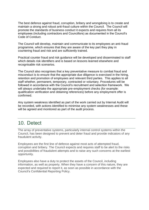The best defence against fraud, corruption, bribery and wrongdoing is to create and maintain a strong and robust anti-fraud culture within the Council. The Council will promote the standards of business conduct it expects and requires from all its employees (including contractors and Councillors) as documented in the Council's Code of Conduct.

The Council will develop, maintain and communicate to its employees an anti-fraud programme, which ensures that they are aware of the key part they play in countering fraud and risk and are sufficiently trained.

Practical counter fraud and risk guidance will be developed and disseminated to staff which details risk identifiers and is based on lessons learned elsewhere and recognisable risk scenarios.

The Council also recognises that a key preventative measure to combat fraud and misconduct is to ensure that the appropriate due diligence is exercised in the hiring, retention and promotion of employees and relevant third parties. This applies to all staff whether, permanent, temporary, contracted or voluntary. Procedures will be followed in accordance with the Council's recruitment and selection framework. We will always undertake the appropriate pre-employment checks (for example: qualification verification and obtaining references) before any employment offer is confirmed.

Any system weakness identified as part of the work carried out by Internal Audit will be recorded, with actions identified to minimise any system weaknesses and these will be agreed and monitored as part of the audit process.

## <span id="page-7-0"></span>10. Detect

The array of preventative systems, particularly internal control systems within the Council, has been designed to prevent and deter fraud and provide indicators of any fraudulent activity.

Employees are the first line of defence against most acts of attempted fraud, corruption and bribery. The Council expects and requires staff to be alert to the risks and possibilities of fraudulent attempts and to raise any such concerns at the earliest opportunity.

Employees also have a duty to protect the assets of the Council, including information, as well as property. When they have a concern of this nature, they are expected and required to report it, as soon as possible in accordance with the Council's Confidential Reporting Policy.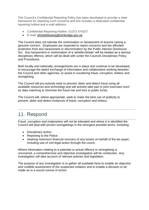The Council's Confidential Reporting Policy has been developed to provide a clear framework for reporting such concerns and this includes a dedicated confidential reporting hotline and e-mail address.

- Confidential Reporting Hotline: 01372 474107
- E-mail: [whistleblowing@elmbridge.gov.uk](mailto:whistleblowing@elmbridge.gov.uk)

The Council does not tolerate the victimisation or harassment of anyone raising a genuine concern. Employees are expected to report concerns and are afforded protection from any harassment or discrimination by the Public Interest Disclosure Act. Any harassment or victimisation of a 'whistle-blower' will be treated as a serious disciplinary offence, which will be dealt with under the Councils Disciplinary Policy and Procedures.

Both locally and nationally, arrangements are in place and continue to be developed, to encourage the lawful exchange of information and collaborative working between the Council and other agencies, to assist in countering fraud, corruption, bribery and wrongdoing.

The Council will pro-actively seek to prevent, deter and detect fraud using all available resources and technology and will actively take part in joint exercises such as data matching to minimise the fraud risk and loss to public funds.

The Council will, where appropriate, seek to make the best use of publicity to prevent, deter and detect instances of fraud, corruption and bribery.

## <span id="page-8-0"></span>11. Respond

Fraud, corruption and malpractice will not be tolerated and where it is identified the Council will deal with proven wrongdoings in the strongest possible terms, including:

- Disciplinary action;
- Reporting to the Police;
- Seeking maximum financial recovery of any losses on behalf of the tax payer, including use of civil legal action through the courts.

Where information relating to a potential or actual offence or wrongdoing is uncovered, a comprehensive and objective investigation will be conducted. Any investigation will take account of relevant policies and legislation.

The purpose of any investigation is to gather all available facts to enable an objective and credible assessment of the suspected violation and to enable a decision to be made as to a sound course of action.